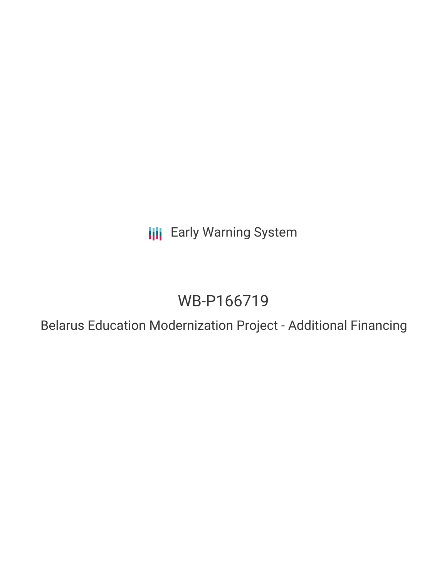**III** Early Warning System

# WB-P166719

Belarus Education Modernization Project - Additional Financing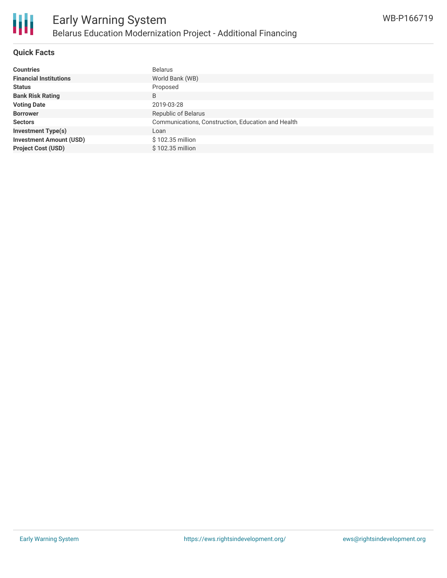

#### **Quick Facts**

| <b>Countries</b>               | <b>Belarus</b>                                     |
|--------------------------------|----------------------------------------------------|
| <b>Financial Institutions</b>  | World Bank (WB)                                    |
| <b>Status</b>                  | Proposed                                           |
| <b>Bank Risk Rating</b>        | B                                                  |
| <b>Voting Date</b>             | 2019-03-28                                         |
| <b>Borrower</b>                | Republic of Belarus                                |
| <b>Sectors</b>                 | Communications, Construction, Education and Health |
| <b>Investment Type(s)</b>      | Loan                                               |
| <b>Investment Amount (USD)</b> | \$102.35 million                                   |
| <b>Project Cost (USD)</b>      | \$102.35 million                                   |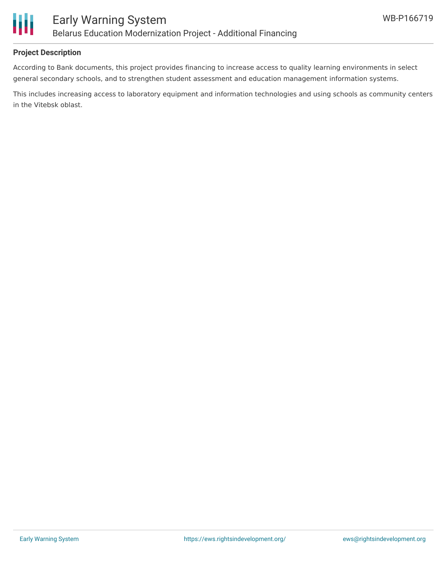

### **Project Description**

According to Bank documents, this project provides financing to increase access to quality learning environments in select general secondary schools, and to strengthen student assessment and education management information systems.

This includes increasing access to laboratory equipment and information technologies and using schools as community centers in the Vitebsk oblast.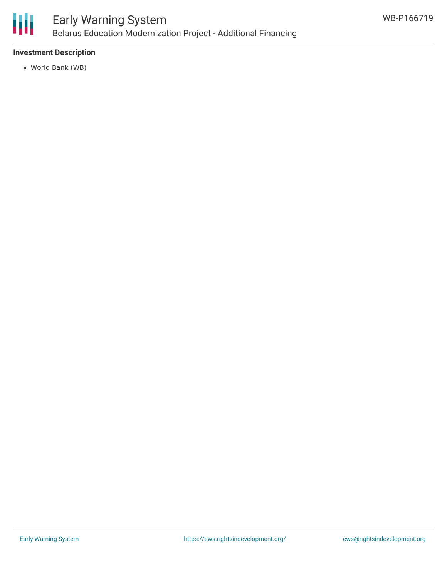

#### **Investment Description**

World Bank (WB)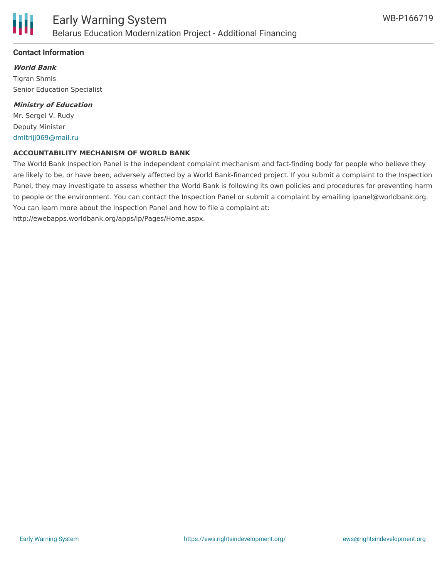

#### **Contact Information**

**World Bank** Tigran Shmis Senior Education Specialist

#### **Ministry of Education**

Mr. Sergei V. Rudy Deputy Minister [dmitrijj069@mail.ru](mailto:dmitrijj069@mail.ru)

#### **ACCOUNTABILITY MECHANISM OF WORLD BANK**

The World Bank Inspection Panel is the independent complaint mechanism and fact-finding body for people who believe they are likely to be, or have been, adversely affected by a World Bank-financed project. If you submit a complaint to the Inspection Panel, they may investigate to assess whether the World Bank is following its own policies and procedures for preventing harm to people or the environment. You can contact the Inspection Panel or submit a complaint by emailing ipanel@worldbank.org. You can learn more about the Inspection Panel and how to file a complaint at: http://ewebapps.worldbank.org/apps/ip/Pages/Home.aspx.